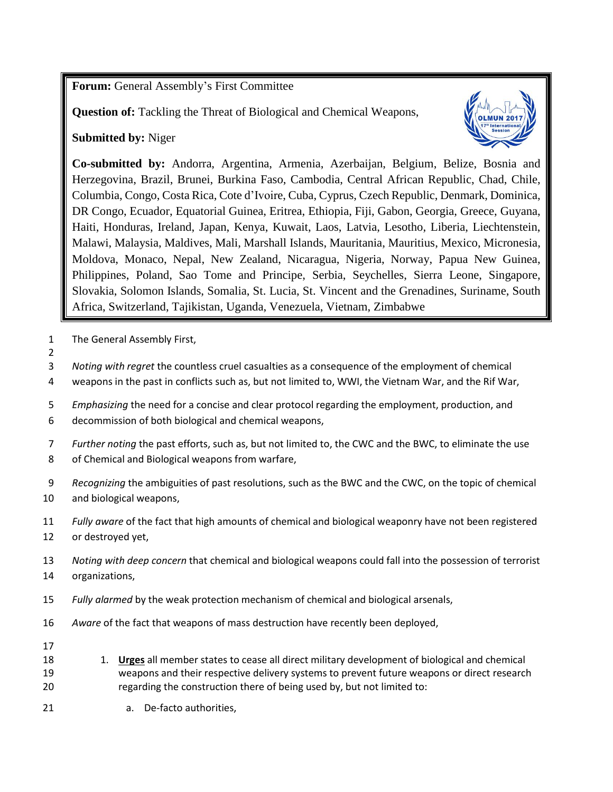**Forum:** General Assembly's First Committee

**Question of:** Tackling the Threat of Biological and Chemical Weapons,

**Submitted by:** Niger



**Co-submitted by:** Andorra, Argentina, Armenia, Azerbaijan, Belgium, Belize, Bosnia and Herzegovina, Brazil, Brunei, Burkina Faso, Cambodia, Central African Republic, Chad, Chile, Columbia, Congo, Costa Rica, Cote d'Ivoire, Cuba, Cyprus, Czech Republic, Denmark, Dominica, DR Congo, Ecuador, Equatorial Guinea, Eritrea, Ethiopia, Fiji, Gabon, Georgia, Greece, Guyana, Haiti, Honduras, Ireland, Japan, Kenya, Kuwait, Laos, Latvia, Lesotho, Liberia, Liechtenstein, Malawi, Malaysia, Maldives, Mali, Marshall Islands, Mauritania, Mauritius, Mexico, Micronesia, Moldova, Monaco, Nepal, New Zealand, Nicaragua, Nigeria, Norway, Papua New Guinea, Philippines, Poland, Sao Tome and Principe, Serbia, Seychelles, Sierra Leone, Singapore, Slovakia, Solomon Islands, Somalia, St. Lucia, St. Vincent and the Grenadines, Suriname, South Africa, Switzerland, Tajikistan, Uganda, Venezuela, Vietnam, Zimbabwe

- The General Assembly First,
- *Noting with regret* the countless cruel casualties as a consequence of the employment of chemical
- weapons in the past in conflicts such as, but not limited to, WWI, the Vietnam War, and the Rif War,
- *Emphasizing* the need for a concise and clear protocol regarding the employment, production, and decommission of both biological and chemical weapons,
- *Further noting* the past efforts, such as, but not limited to, the CWC and the BWC, to eliminate the use of Chemical and Biological weapons from warfare,
- *Recognizing* the ambiguities of past resolutions, such as the BWC and the CWC, on the topic of chemical and biological weapons,
- *Fully aware* of the fact that high amounts of chemical and biological weaponry have not been registered or destroyed yet,
- *Noting with deep concern* that chemical and biological weapons could fall into the possession of terrorist organizations,
- *Fully alarmed* by the weak protection mechanism of chemical and biological arsenals,
- *Aware* of the fact that weapons of mass destruction have recently been deployed,
- 

- 1. **Urges** all member states to cease all direct military development of biological and chemical weapons and their respective delivery systems to prevent future weapons or direct research regarding the construction there of being used by, but not limited to:
- a. De-facto authorities,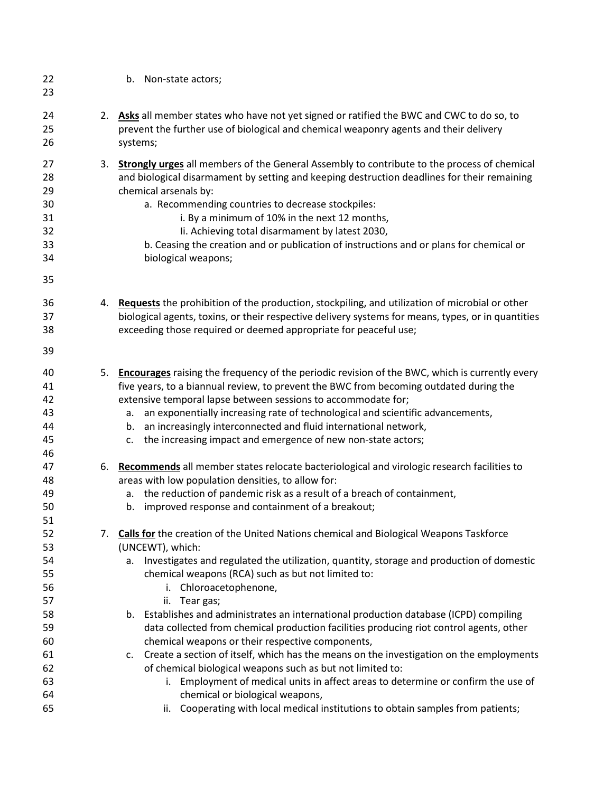| 22<br>23                                     | b. Non-state actors;                                                                                                                                                                                                                                                                                                                                                                                                                                                                              |
|----------------------------------------------|---------------------------------------------------------------------------------------------------------------------------------------------------------------------------------------------------------------------------------------------------------------------------------------------------------------------------------------------------------------------------------------------------------------------------------------------------------------------------------------------------|
| 24<br>25<br>26                               | 2. Asks all member states who have not yet signed or ratified the BWC and CWC to do so, to<br>prevent the further use of biological and chemical weaponry agents and their delivery<br>systems;                                                                                                                                                                                                                                                                                                   |
| 27<br>28<br>29<br>30<br>31<br>32<br>33<br>34 | 3. Strongly urges all members of the General Assembly to contribute to the process of chemical<br>and biological disarmament by setting and keeping destruction deadlines for their remaining<br>chemical arsenals by:<br>a. Recommending countries to decrease stockpiles:<br>i. By a minimum of 10% in the next 12 months,<br>Ii. Achieving total disarmament by latest 2030,<br>b. Ceasing the creation and or publication of instructions and or plans for chemical or<br>biological weapons; |
| 35                                           |                                                                                                                                                                                                                                                                                                                                                                                                                                                                                                   |
| 36<br>37<br>38                               | 4. Requests the prohibition of the production, stockpiling, and utilization of microbial or other<br>biological agents, toxins, or their respective delivery systems for means, types, or in quantities<br>exceeding those required or deemed appropriate for peaceful use;                                                                                                                                                                                                                       |
| 39                                           |                                                                                                                                                                                                                                                                                                                                                                                                                                                                                                   |
| 40<br>41<br>42<br>43<br>44<br>45<br>46       | 5. Encourages raising the frequency of the periodic revision of the BWC, which is currently every<br>five years, to a biannual review, to prevent the BWC from becoming outdated during the<br>extensive temporal lapse between sessions to accommodate for;<br>an exponentially increasing rate of technological and scientific advancements,<br>а.<br>an increasingly interconnected and fluid international network,<br>b.<br>c. the increasing impact and emergence of new non-state actors;  |
| 47<br>48<br>49<br>50<br>51                   | 6. Recommends all member states relocate bacteriological and virologic research facilities to<br>areas with low population densities, to allow for:<br>the reduction of pandemic risk as a result of a breach of containment,<br>а.<br>improved response and containment of a breakout;<br>b.                                                                                                                                                                                                     |
| 52<br>53<br>54<br>55<br>56<br>57             | 7. Calls for the creation of the United Nations chemical and Biological Weapons Taskforce<br>(UNCEWT), which:<br>Investigates and regulated the utilization, quantity, storage and production of domestic<br>а.<br>chemical weapons (RCA) such as but not limited to:<br>Chloroacetophenone,<br>i.<br>ii. Tear gas;                                                                                                                                                                               |
| 58<br>59<br>60<br>61                         | b. Establishes and administrates an international production database (ICPD) compiling<br>data collected from chemical production facilities producing riot control agents, other<br>chemical weapons or their respective components,<br>c. Create a section of itself, which has the means on the investigation on the employments                                                                                                                                                               |
| 62<br>63<br>64<br>65                         | of chemical biological weapons such as but not limited to:<br>i. Employment of medical units in affect areas to determine or confirm the use of<br>chemical or biological weapons,<br>Cooperating with local medical institutions to obtain samples from patients;<br>ii.                                                                                                                                                                                                                         |
|                                              |                                                                                                                                                                                                                                                                                                                                                                                                                                                                                                   |